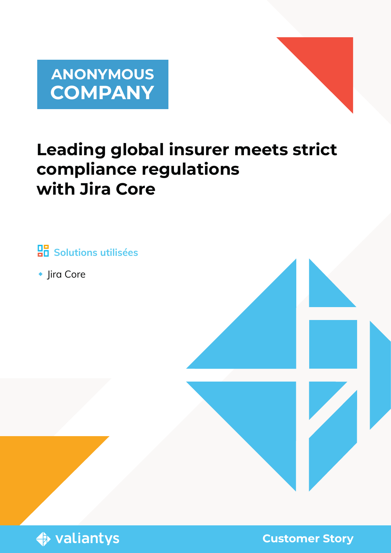



# **Leading global insurer meets strict compliance regulations with Jira Core**

 **Solutions utilisées**

◆ Jira Core





**Customer Story**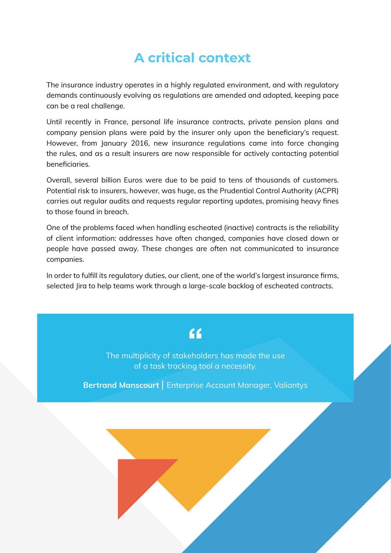## **A critical context**

The insurance industry operates in a highly regulated environment, and with regulatory demands continuously evolving as regulations are amended and adopted, keeping pace can be a real challenge.

Until recently in France, personal life insurance contracts, private pension plans and company pension plans were paid by the insurer only upon the beneficiary's request. However, from January 2016, new insurance regulations came into force changing the rules, and as a result insurers are now responsible for actively contacting potential beneficiaries.

Overall, several billion Euros were due to be paid to tens of thousands of customers. Potential risk to insurers, however, was huge, as the Prudential Control Authority (ACPR) carries out regular audits and requests regular reporting updates, promising heavy fines to those found in breach.

One of the problems faced when handling escheated (inactive) contracts is the reliability of client information: addresses have often changed, companies have closed down or people have passed away. These changes are often not communicated to insurance companies.

In order to fulfill its regulatory duties, our client, one of the world's largest insurance firms, selected Jira to help teams work through a large-scale backlog of escheated contracts.

#### $66$

The multiplicity of stakeholders has made the use of a task tracking tool a necessity.

**Bertrand Manscourt** | Enterprise Account Manager, Valiantys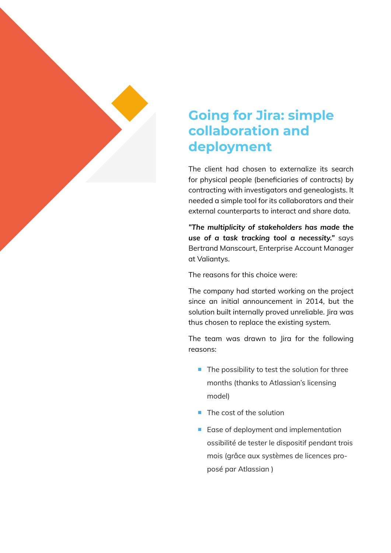

### **Going for Jira: simple collaboration and deployment**

The client had chosen to externalize its search for physical people (beneficiaries of contracts) by contracting with investigators and genealogists. It needed a simple tool for its collaborators and their external counterparts to interact and share data.

*"The multiplicity of stakeholders has made the use of a task tracking tool a necessity."* says Bertrand Manscourt, Enterprise Account Manager at Valiantys.

The reasons for this choice were:

The company had started working on the project since an initial announcement in 2014, but the solution built internally proved unreliable. Jira was thus chosen to replace the existing system.

The team was drawn to Jira for the following reasons:

- The possibility to test the solution for three months (thanks to Atlassian's licensing model)
- The cost of the solution
- Ease of deployment and implementation ossibilité de tester le dispositif pendant trois mois (grâce aux systèmes de licences proposé par Atlassian )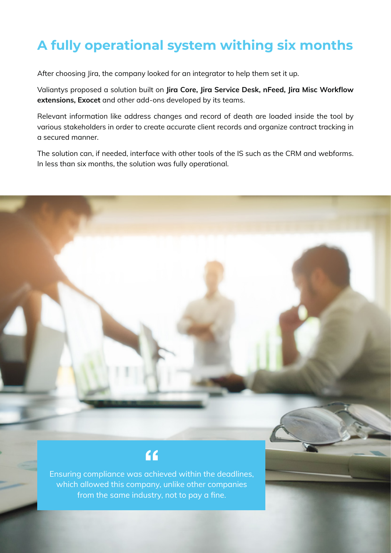# **A fully operational system withing six months**

After choosing Jira, the company looked for an integrator to help them set it up.

Valiantys proposed a solution built on **Jira Core, Jira Service Desk, nFeed, Jira Misc Workflow extensions, Exocet** and other add-ons developed by its teams.

Relevant information like address changes and record of death are loaded inside the tool by various stakeholders in order to create accurate client records and organize contract tracking in a secured manner.

The solution can, if needed, interface with other tools of the IS such as the CRM and webforms. In less than six months, the solution was fully operational.

#### $\overline{6}$

Ensuring compliance was achieved within the deadlines, which allowed this company, unlike other companies from the same industry, not to pay a fine.